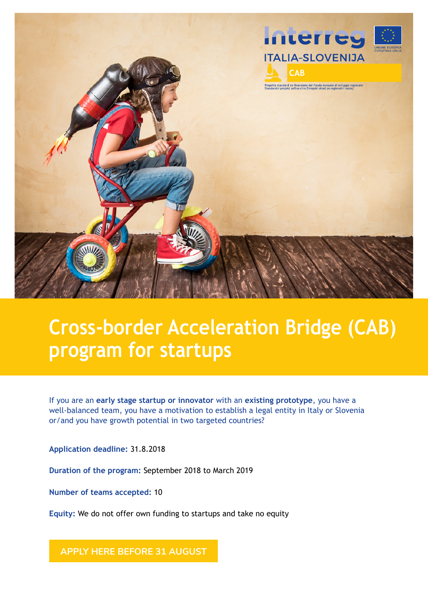

# **Cross-border Acceleration Bridge (CAB) program for startups**

If you are an **early stage startup or innovator** with an **existing prototype**, you have a well-balanced team, you have a motivation to establish a legal entity in Italy or Slovenia or/and you have growth potential in two targeted countries?

**Application deadline:** 31.8.2018

**Duration of the program:** September 2018 to March 2019

**Number of teams accepted:** 10

**Equity:** We do not offer own funding to startups and take no equity

**[APPLY HERE BEFORE 31 AUGUST](https://www.f6s.com/cabprogram2018-19/apply)**